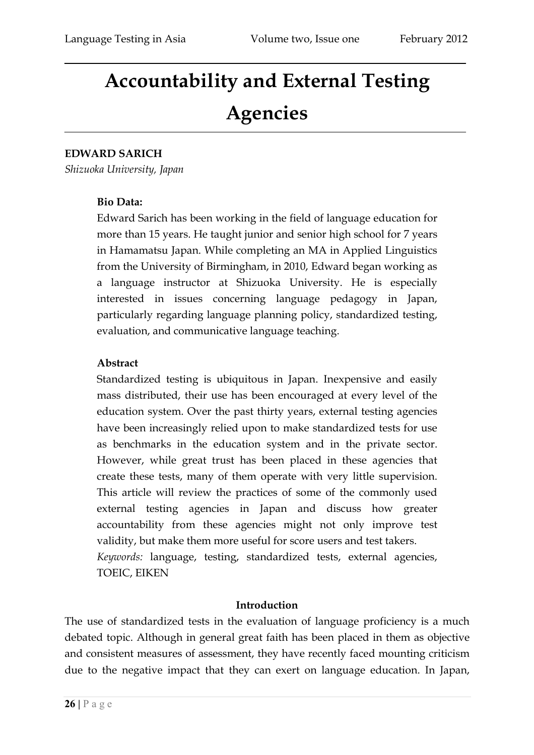# **Accountability and External Testing Agencies**

## **EDWARD SARICH**

*Shizuoka University, Japan* 

## **Bio Data:**

Edward Sarich has been working in the field of language education for more than 15 years. He taught junior and senior high school for 7 years in Hamamatsu Japan. While completing an MA in Applied Linguistics from the University of Birmingham, in 2010, Edward began working as a language instructor at Shizuoka University. He is especially interested in issues concerning language pedagogy in Japan, particularly regarding language planning policy, standardized testing, evaluation, and communicative language teaching.

## **Abstract**

Standardized testing is ubiquitous in Japan. Inexpensive and easily mass distributed, their use has been encouraged at every level of the education system. Over the past thirty years, external testing agencies have been increasingly relied upon to make standardized tests for use as benchmarks in the education system and in the private sector. However, while great trust has been placed in these agencies that create these tests, many of them operate with very little supervision. This article will review the practices of some of the commonly used external testing agencies in Japan and discuss how greater accountability from these agencies might not only improve test validity, but make them more useful for score users and test takers. *Keywords:* language, testing, standardized tests, external agencies,

TOEIC, EIKEN

# **Introduction**

The use of standardized tests in the evaluation of language proficiency is a much debated topic. Although in general great faith has been placed in them as objective and consistent measures of assessment, they have recently faced mounting criticism due to the negative impact that they can exert on language education. In Japan,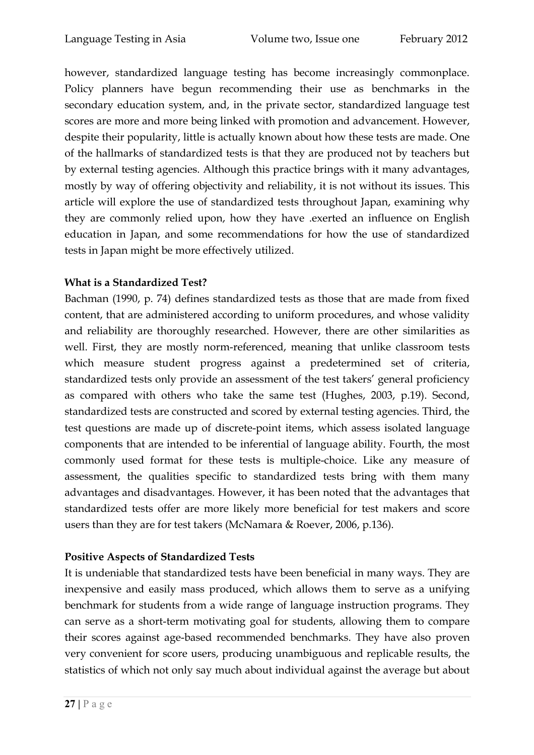however, standardized language testing has become increasingly commonplace. Policy planners have begun recommending their use as benchmarks in the secondary education system, and, in the private sector, standardized language test scores are more and more being linked with promotion and advancement. However, despite their popularity, little is actually known about how these tests are made. One of the hallmarks of standardized tests is that they are produced not by teachers but by external testing agencies. Although this practice brings with it many advantages, mostly by way of offering objectivity and reliability, it is not without its issues. This article will explore the use of standardized tests throughout Japan, examining why they are commonly relied upon, how they have .exerted an influence on English education in Japan, and some recommendations for how the use of standardized tests in Japan might be more effectively utilized.

## **What is a Standardized Test?**

Bachman (1990, p. 74) defines standardized tests as those that are made from fixed content, that are administered according to uniform procedures, and whose validity and reliability are thoroughly researched. However, there are other similarities as well. First, they are mostly norm-referenced, meaning that unlike classroom tests which measure student progress against a predetermined set of criteria, standardized tests only provide an assessment of the test takers' general proficiency as compared with others who take the same test (Hughes, 2003, p.19). Second, standardized tests are constructed and scored by external testing agencies. Third, the test questions are made up of discrete-point items, which assess isolated language components that are intended to be inferential of language ability. Fourth, the most commonly used format for these tests is multiple-choice. Like any measure of assessment, the qualities specific to standardized tests bring with them many advantages and disadvantages. However, it has been noted that the advantages that standardized tests offer are more likely more beneficial for test makers and score users than they are for test takers (McNamara & Roever, 2006, p.136).

## **Positive Aspects of Standardized Tests**

It is undeniable that standardized tests have been beneficial in many ways. They are inexpensive and easily mass produced, which allows them to serve as a unifying benchmark for students from a wide range of language instruction programs. They can serve as a short-term motivating goal for students, allowing them to compare their scores against age-based recommended benchmarks. They have also proven very convenient for score users, producing unambiguous and replicable results, the statistics of which not only say much about individual against the average but about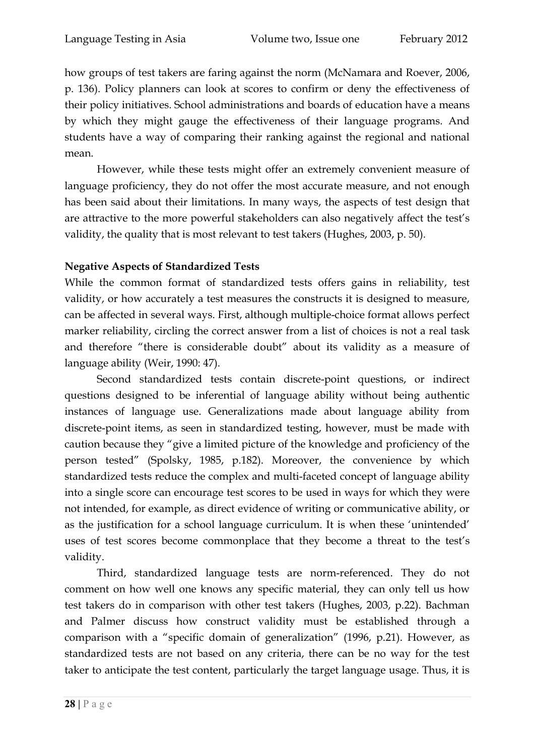how groups of test takers are faring against the norm (McNamara and Roever, 2006, p. 136). Policy planners can look at scores to confirm or deny the effectiveness of their policy initiatives. School administrations and boards of education have a means by which they might gauge the effectiveness of their language programs. And students have a way of comparing their ranking against the regional and national mean.

However, while these tests might offer an extremely convenient measure of language proficiency, they do not offer the most accurate measure, and not enough has been said about their limitations. In many ways, the aspects of test design that are attractive to the more powerful stakeholders can also negatively affect the test's validity, the quality that is most relevant to test takers (Hughes, 2003, p. 50).

## **Negative Aspects of Standardized Tests**

While the common format of standardized tests offers gains in reliability, test validity, or how accurately a test measures the constructs it is designed to measure, can be affected in several ways. First, although multiple-choice format allows perfect marker reliability, circling the correct answer from a list of choices is not a real task and therefore "there is considerable doubt" about its validity as a measure of language ability (Weir, 1990: 47).

Second standardized tests contain discrete-point questions, or indirect questions designed to be inferential of language ability without being authentic instances of language use. Generalizations made about language ability from discrete-point items, as seen in standardized testing, however, must be made with caution because they "give a limited picture of the knowledge and proficiency of the person tested" (Spolsky, 1985, p.182). Moreover, the convenience by which standardized tests reduce the complex and multi-faceted concept of language ability into a single score can encourage test scores to be used in ways for which they were not intended, for example, as direct evidence of writing or communicative ability, or as the justification for a school language curriculum. It is when these 'unintended' uses of test scores become commonplace that they become a threat to the test's validity.

Third, standardized language tests are norm-referenced. They do not comment on how well one knows any specific material, they can only tell us how test takers do in comparison with other test takers (Hughes, 2003, p.22). Bachman and Palmer discuss how construct validity must be established through a comparison with a "specific domain of generalization" (1996, p.21). However, as standardized tests are not based on any criteria, there can be no way for the test taker to anticipate the test content, particularly the target language usage. Thus, it is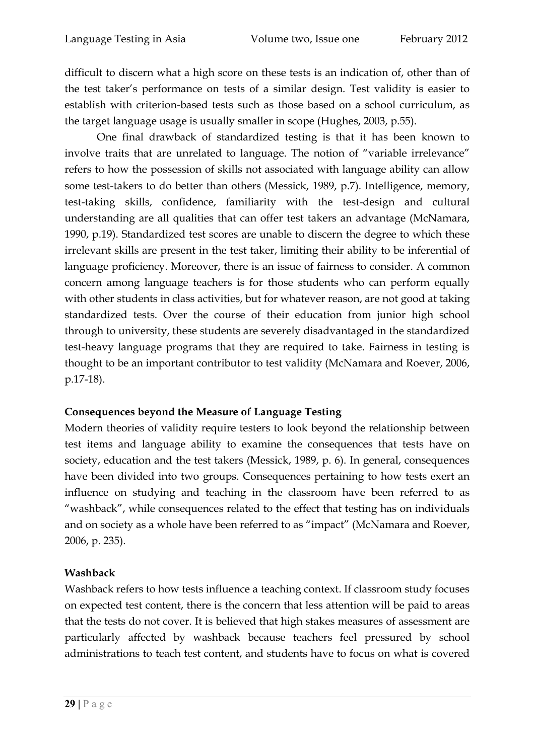difficult to discern what a high score on these tests is an indication of, other than of the test taker's performance on tests of a similar design. Test validity is easier to establish with criterion-based tests such as those based on a school curriculum, as the target language usage is usually smaller in scope (Hughes, 2003, p.55).

One final drawback of standardized testing is that it has been known to involve traits that are unrelated to language. The notion of "variable irrelevance" refers to how the possession of skills not associated with language ability can allow some test-takers to do better than others (Messick, 1989, p.7). Intelligence, memory, test-taking skills, confidence, familiarity with the test-design and cultural understanding are all qualities that can offer test takers an advantage (McNamara, 1990, p.19). Standardized test scores are unable to discern the degree to which these irrelevant skills are present in the test taker, limiting their ability to be inferential of language proficiency. Moreover, there is an issue of fairness to consider. A common concern among language teachers is for those students who can perform equally with other students in class activities, but for whatever reason, are not good at taking standardized tests. Over the course of their education from junior high school through to university, these students are severely disadvantaged in the standardized test-heavy language programs that they are required to take. Fairness in testing is thought to be an important contributor to test validity (McNamara and Roever, 2006, p.17-18).

## **Consequences beyond the Measure of Language Testing**

Modern theories of validity require testers to look beyond the relationship between test items and language ability to examine the consequences that tests have on society, education and the test takers (Messick, 1989, p. 6). In general, consequences have been divided into two groups. Consequences pertaining to how tests exert an influence on studying and teaching in the classroom have been referred to as "washback", while consequences related to the effect that testing has on individuals and on society as a whole have been referred to as "impact" (McNamara and Roever, 2006, p. 235).

# **Washback**

Washback refers to how tests influence a teaching context. If classroom study focuses on expected test content, there is the concern that less attention will be paid to areas that the tests do not cover. It is believed that high stakes measures of assessment are particularly affected by washback because teachers feel pressured by school administrations to teach test content, and students have to focus on what is covered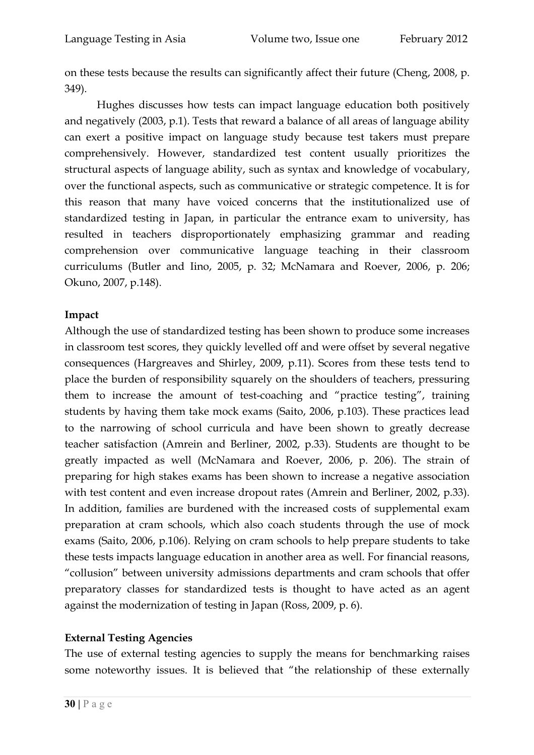on these tests because the results can significantly affect their future (Cheng, 2008, p. 349).

Hughes discusses how tests can impact language education both positively and negatively (2003, p.1). Tests that reward a balance of all areas of language ability can exert a positive impact on language study because test takers must prepare comprehensively. However, standardized test content usually prioritizes the structural aspects of language ability, such as syntax and knowledge of vocabulary, over the functional aspects, such as communicative or strategic competence. It is for this reason that many have voiced concerns that the institutionalized use of standardized testing in Japan, in particular the entrance exam to university, has resulted in teachers disproportionately emphasizing grammar and reading comprehension over communicative language teaching in their classroom curriculums (Butler and Iino, 2005, p. 32; McNamara and Roever, 2006, p. 206; Okuno, 2007, p.148).

## **Impact**

Although the use of standardized testing has been shown to produce some increases in classroom test scores, they quickly levelled off and were offset by several negative consequences (Hargreaves and Shirley, 2009, p.11). Scores from these tests tend to place the burden of responsibility squarely on the shoulders of teachers, pressuring them to increase the amount of test-coaching and "practice testing", training students by having them take mock exams (Saito, 2006, p.103). These practices lead to the narrowing of school curricula and have been shown to greatly decrease teacher satisfaction (Amrein and Berliner, 2002, p.33). Students are thought to be greatly impacted as well (McNamara and Roever, 2006, p. 206). The strain of preparing for high stakes exams has been shown to increase a negative association with test content and even increase dropout rates (Amrein and Berliner, 2002, p.33). In addition, families are burdened with the increased costs of supplemental exam preparation at cram schools, which also coach students through the use of mock exams (Saito, 2006, p.106). Relying on cram schools to help prepare students to take these tests impacts language education in another area as well. For financial reasons, "collusion" between university admissions departments and cram schools that offer preparatory classes for standardized tests is thought to have acted as an agent against the modernization of testing in Japan (Ross, 2009, p. 6).

## **External Testing Agencies**

The use of external testing agencies to supply the means for benchmarking raises some noteworthy issues. It is believed that "the relationship of these externally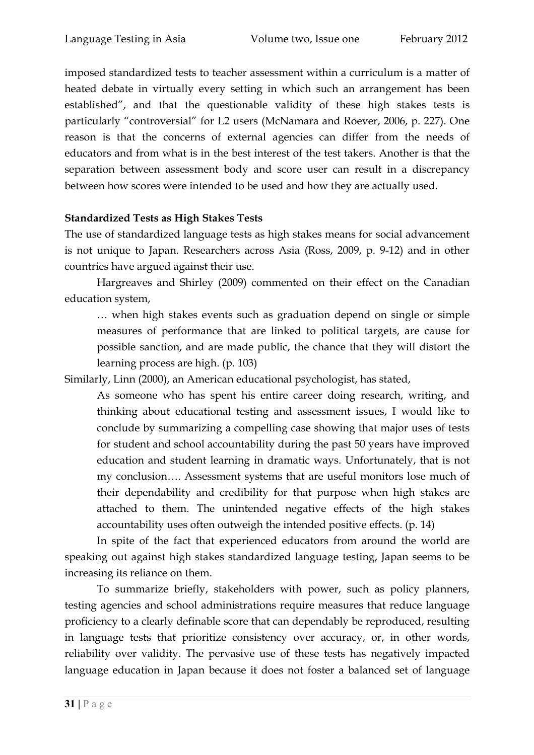imposed standardized tests to teacher assessment within a curriculum is a matter of heated debate in virtually every setting in which such an arrangement has been established", and that the questionable validity of these high stakes tests is particularly "controversial" for L2 users (McNamara and Roever, 2006, p. 227). One reason is that the concerns of external agencies can differ from the needs of educators and from what is in the best interest of the test takers. Another is that the separation between assessment body and score user can result in a discrepancy between how scores were intended to be used and how they are actually used.

## **Standardized Tests as High Stakes Tests**

The use of standardized language tests as high stakes means for social advancement is not unique to Japan. Researchers across Asia (Ross, 2009, p. 9-12) and in other countries have argued against their use.

Hargreaves and Shirley (2009) commented on their effect on the Canadian education system,

… when high stakes events such as graduation depend on single or simple measures of performance that are linked to political targets, are cause for possible sanction, and are made public, the chance that they will distort the learning process are high. (p. 103)

Similarly, Linn (2000), an American educational psychologist, has stated,

As someone who has spent his entire career doing research, writing, and thinking about educational testing and assessment issues, I would like to conclude by summarizing a compelling case showing that major uses of tests for student and school accountability during the past 50 years have improved education and student learning in dramatic ways. Unfortunately, that is not my conclusion…. Assessment systems that are useful monitors lose much of their dependability and credibility for that purpose when high stakes are attached to them. The unintended negative effects of the high stakes accountability uses often outweigh the intended positive effects. (p. 14)

In spite of the fact that experienced educators from around the world are speaking out against high stakes standardized language testing, Japan seems to be increasing its reliance on them.

To summarize briefly, stakeholders with power, such as policy planners, testing agencies and school administrations require measures that reduce language proficiency to a clearly definable score that can dependably be reproduced, resulting in language tests that prioritize consistency over accuracy, or, in other words, reliability over validity. The pervasive use of these tests has negatively impacted language education in Japan because it does not foster a balanced set of language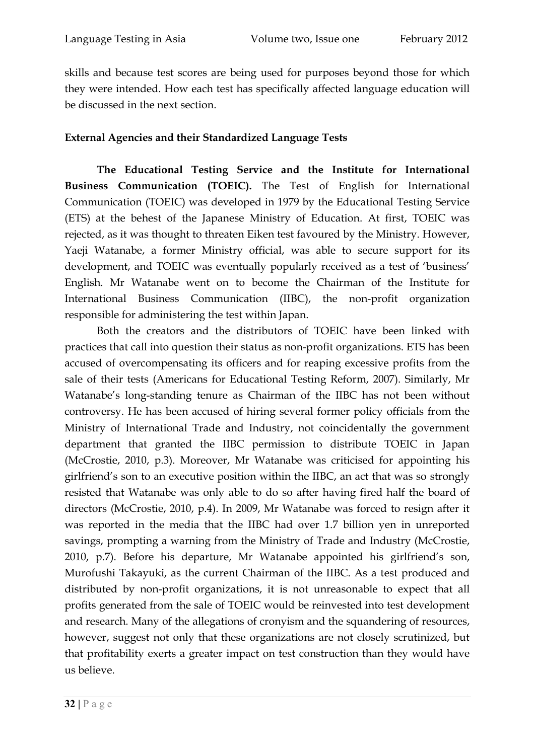skills and because test scores are being used for purposes beyond those for which they were intended. How each test has specifically affected language education will be discussed in the next section.

## **External Agencies and their Standardized Language Tests**

**The Educational Testing Service and the Institute for International Business Communication (TOEIC).** The Test of English for International Communication (TOEIC) was developed in 1979 by the Educational Testing Service (ETS) at the behest of the Japanese Ministry of Education. At first, TOEIC was rejected, as it was thought to threaten Eiken test favoured by the Ministry. However, Yaeji Watanabe, a former Ministry official, was able to secure support for its development, and TOEIC was eventually popularly received as a test of 'business' English. Mr Watanabe went on to become the Chairman of the Institute for International Business Communication (IIBC), the non-profit organization responsible for administering the test within Japan.

Both the creators and the distributors of TOEIC have been linked with practices that call into question their status as non-profit organizations. ETS has been accused of overcompensating its officers and for reaping excessive profits from the sale of their tests (Americans for Educational Testing Reform, 2007). Similarly, Mr Watanabe's long-standing tenure as Chairman of the IIBC has not been without controversy. He has been accused of hiring several former policy officials from the Ministry of International Trade and Industry, not coincidentally the government department that granted the IIBC permission to distribute TOEIC in Japan (McCrostie, 2010, p.3). Moreover, Mr Watanabe was criticised for appointing his girlfriend's son to an executive position within the IIBC, an act that was so strongly resisted that Watanabe was only able to do so after having fired half the board of directors (McCrostie, 2010, p.4). In 2009, Mr Watanabe was forced to resign after it was reported in the media that the IIBC had over 1.7 billion yen in unreported savings, prompting a warning from the Ministry of Trade and Industry (McCrostie, 2010, p.7). Before his departure, Mr Watanabe appointed his girlfriend's son, Murofushi Takayuki, as the current Chairman of the IIBC. As a test produced and distributed by non-profit organizations, it is not unreasonable to expect that all profits generated from the sale of TOEIC would be reinvested into test development and research. Many of the allegations of cronyism and the squandering of resources, however, suggest not only that these organizations are not closely scrutinized, but that profitability exerts a greater impact on test construction than they would have us believe.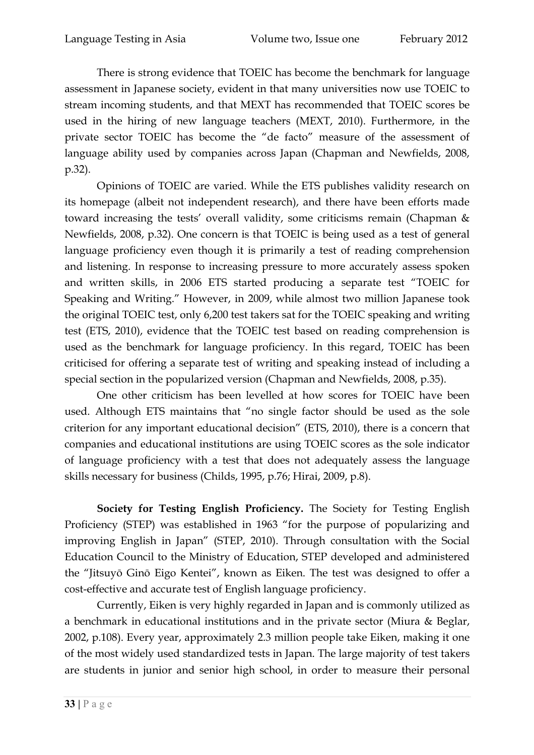There is strong evidence that TOEIC has become the benchmark for language assessment in Japanese society, evident in that many universities now use TOEIC to stream incoming students, and that MEXT has recommended that TOEIC scores be used in the hiring of new language teachers (MEXT, 2010). Furthermore, in the private sector TOEIC has become the "de facto" measure of the assessment of language ability used by companies across Japan (Chapman and Newfields, 2008, p.32).

Opinions of TOEIC are varied. While the ETS publishes validity research on its homepage (albeit not independent research), and there have been efforts made toward increasing the tests' overall validity, some criticisms remain (Chapman & Newfields, 2008, p.32). One concern is that TOEIC is being used as a test of general language proficiency even though it is primarily a test of reading comprehension and listening. In response to increasing pressure to more accurately assess spoken and written skills, in 2006 ETS started producing a separate test "TOEIC for Speaking and Writing." However, in 2009, while almost two million Japanese took the original TOEIC test, only 6,200 test takers sat for the TOEIC speaking and writing test (ETS, 2010), evidence that the TOEIC test based on reading comprehension is used as the benchmark for language proficiency. In this regard, TOEIC has been criticised for offering a separate test of writing and speaking instead of including a special section in the popularized version (Chapman and Newfields, 2008, p.35).

One other criticism has been levelled at how scores for TOEIC have been used. Although ETS maintains that "no single factor should be used as the sole criterion for any important educational decision" (ETS, 2010), there is a concern that companies and educational institutions are using TOEIC scores as the sole indicator of language proficiency with a test that does not adequately assess the language skills necessary for business (Childs, 1995, p.76; Hirai, 2009, p.8).

**Society for Testing English Proficiency.** The Society for Testing English Proficiency (STEP) was established in 1963 "for the purpose of popularizing and improving English in Japan" (STEP, 2010). Through consultation with the Social Education Council to the Ministry of Education, STEP developed and administered the "Jitsuyō Ginō Eigo Kentei", known as Eiken. The test was designed to offer a cost-effective and accurate test of English language proficiency.

Currently, Eiken is very highly regarded in Japan and is commonly utilized as a benchmark in educational institutions and in the private sector (Miura & Beglar, 2002, p.108). Every year, approximately 2.3 million people take Eiken, making it one of the most widely used standardized tests in Japan. The large majority of test takers are students in junior and senior high school, in order to measure their personal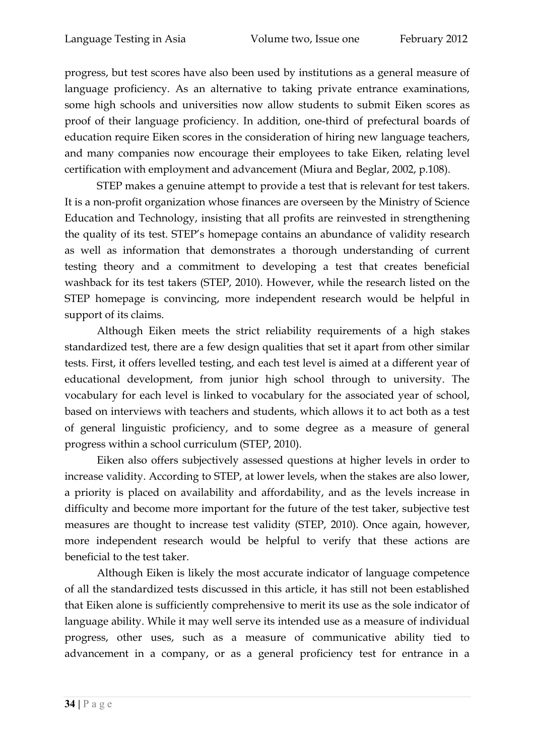progress, but test scores have also been used by institutions as a general measure of language proficiency. As an alternative to taking private entrance examinations, some high schools and universities now allow students to submit Eiken scores as proof of their language proficiency. In addition, one-third of prefectural boards of education require Eiken scores in the consideration of hiring new language teachers, and many companies now encourage their employees to take Eiken, relating level certification with employment and advancement (Miura and Beglar, 2002, p.108).

STEP makes a genuine attempt to provide a test that is relevant for test takers. It is a non-profit organization whose finances are overseen by the Ministry of Science Education and Technology, insisting that all profits are reinvested in strengthening the quality of its test. STEP's homepage contains an abundance of validity research as well as information that demonstrates a thorough understanding of current testing theory and a commitment to developing a test that creates beneficial washback for its test takers (STEP, 2010). However, while the research listed on the STEP homepage is convincing, more independent research would be helpful in support of its claims.

Although Eiken meets the strict reliability requirements of a high stakes standardized test, there are a few design qualities that set it apart from other similar tests. First, it offers levelled testing, and each test level is aimed at a different year of educational development, from junior high school through to university. The vocabulary for each level is linked to vocabulary for the associated year of school, based on interviews with teachers and students, which allows it to act both as a test of general linguistic proficiency, and to some degree as a measure of general progress within a school curriculum (STEP, 2010).

Eiken also offers subjectively assessed questions at higher levels in order to increase validity. According to STEP, at lower levels, when the stakes are also lower, a priority is placed on availability and affordability, and as the levels increase in difficulty and become more important for the future of the test taker, subjective test measures are thought to increase test validity (STEP, 2010). Once again, however, more independent research would be helpful to verify that these actions are beneficial to the test taker.

Although Eiken is likely the most accurate indicator of language competence of all the standardized tests discussed in this article, it has still not been established that Eiken alone is sufficiently comprehensive to merit its use as the sole indicator of language ability. While it may well serve its intended use as a measure of individual progress, other uses, such as a measure of communicative ability tied to advancement in a company, or as a general proficiency test for entrance in a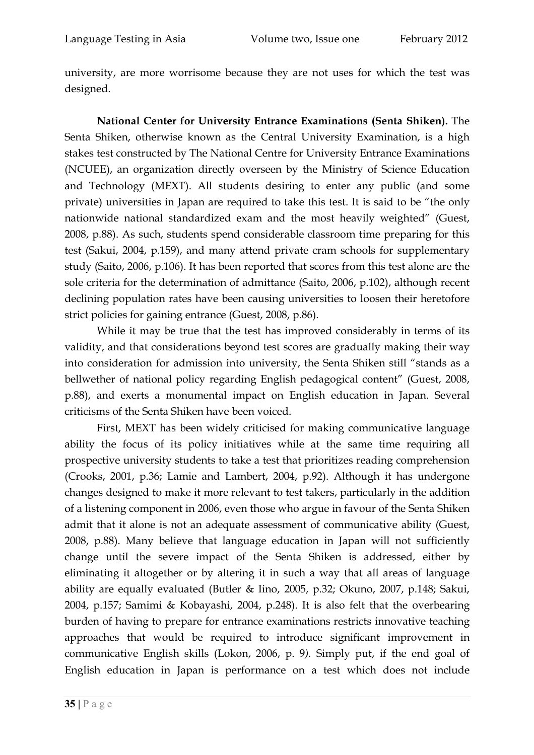university, are more worrisome because they are not uses for which the test was designed.

**National Center for University Entrance Examinations (Senta Shiken).** The Senta Shiken, otherwise known as the Central University Examination, is a high stakes test constructed by The National Centre for University Entrance Examinations (NCUEE), an organization directly overseen by the Ministry of Science Education and Technology (MEXT). All students desiring to enter any public (and some private) universities in Japan are required to take this test. It is said to be "the only nationwide national standardized exam and the most heavily weighted" (Guest, 2008, p.88). As such, students spend considerable classroom time preparing for this test (Sakui, 2004, p.159), and many attend private cram schools for supplementary study (Saito, 2006, p.106). It has been reported that scores from this test alone are the sole criteria for the determination of admittance (Saito, 2006, p.102), although recent declining population rates have been causing universities to loosen their heretofore strict policies for gaining entrance (Guest, 2008, p.86).

While it may be true that the test has improved considerably in terms of its validity, and that considerations beyond test scores are gradually making their way into consideration for admission into university, the Senta Shiken still "stands as a bellwether of national policy regarding English pedagogical content" (Guest, 2008, p.88), and exerts a monumental impact on English education in Japan. Several criticisms of the Senta Shiken have been voiced.

First, MEXT has been widely criticised for making communicative language ability the focus of its policy initiatives while at the same time requiring all prospective university students to take a test that prioritizes reading comprehension (Crooks, 2001, p.36; Lamie and Lambert, 2004, p.92). Although it has undergone changes designed to make it more relevant to test takers, particularly in the addition of a listening component in 2006, even those who argue in favour of the Senta Shiken admit that it alone is not an adequate assessment of communicative ability (Guest, 2008, p.88). Many believe that language education in Japan will not sufficiently change until the severe impact of the Senta Shiken is addressed, either by eliminating it altogether or by altering it in such a way that all areas of language ability are equally evaluated (Butler & Iino, 2005, p.32; Okuno, 2007, p.148; Sakui, 2004, p.157; Samimi & Kobayashi, 2004, p.248). It is also felt that the overbearing burden of having to prepare for entrance examinations restricts innovative teaching approaches that would be required to introduce significant improvement in communicative English skills (Lokon, 2006, p. 9*).* Simply put, if the end goal of English education in Japan is performance on a test which does not include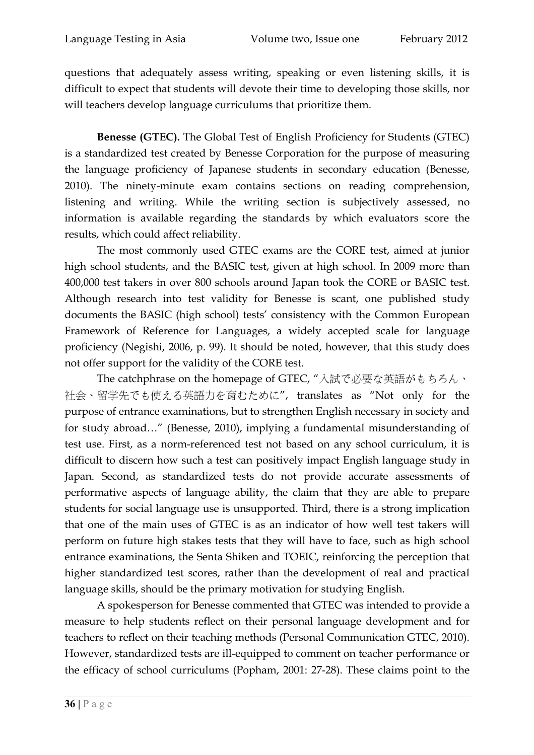questions that adequately assess writing, speaking or even listening skills, it is difficult to expect that students will devote their time to developing those skills, nor will teachers develop language curriculums that prioritize them.

**Benesse (GTEC).** The Global Test of English Proficiency for Students (GTEC) is a standardized test created by Benesse Corporation for the purpose of measuring the language proficiency of Japanese students in secondary education (Benesse, 2010). The ninety-minute exam contains sections on reading comprehension, listening and writing. While the writing section is subjectively assessed, no information is available regarding the standards by which evaluators score the results, which could affect reliability.

The most commonly used GTEC exams are the CORE test, aimed at junior high school students, and the BASIC test, given at high school. In 2009 more than 400,000 test takers in over 800 schools around Japan took the CORE or BASIC test. Although research into test validity for Benesse is scant, one published study documents the BASIC (high school) tests' consistency with the Common European Framework of Reference for Languages, a widely accepted scale for language proficiency (Negishi, 2006, p. 99). It should be noted, however, that this study does not offer support for the validity of the CORE test.

The catchphrase on the homepage of GTEC, "入試で必要な英語がもちろん、 社会、留学先でも使える英語力を育むために", translates as "Not only for the purpose of entrance examinations, but to strengthen English necessary in society and for study abroad…" (Benesse, 2010), implying a fundamental misunderstanding of test use. First, as a norm-referenced test not based on any school curriculum, it is difficult to discern how such a test can positively impact English language study in Japan. Second, as standardized tests do not provide accurate assessments of performative aspects of language ability, the claim that they are able to prepare students for social language use is unsupported. Third, there is a strong implication that one of the main uses of GTEC is as an indicator of how well test takers will perform on future high stakes tests that they will have to face, such as high school entrance examinations, the Senta Shiken and TOEIC, reinforcing the perception that higher standardized test scores, rather than the development of real and practical language skills, should be the primary motivation for studying English.

A spokesperson for Benesse commented that GTEC was intended to provide a measure to help students reflect on their personal language development and for teachers to reflect on their teaching methods (Personal Communication GTEC, 2010). However, standardized tests are ill-equipped to comment on teacher performance or the efficacy of school curriculums (Popham, 2001: 27-28). These claims point to the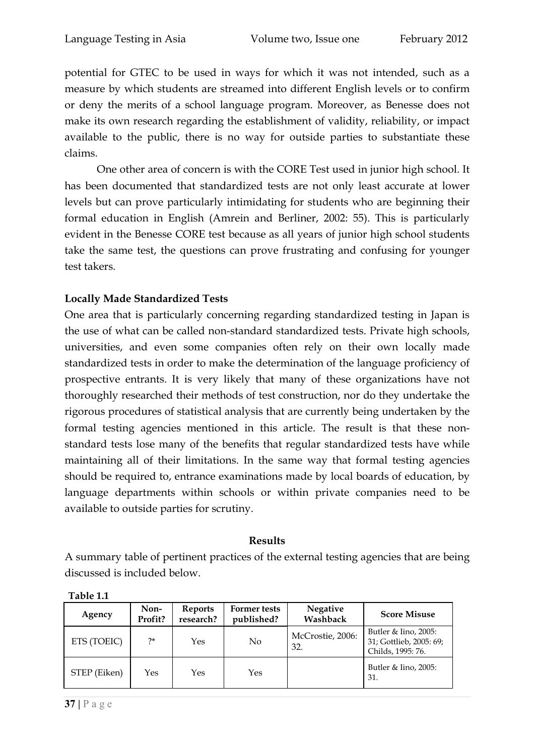potential for GTEC to be used in ways for which it was not intended, such as a measure by which students are streamed into different English levels or to confirm or deny the merits of a school language program. Moreover, as Benesse does not make its own research regarding the establishment of validity, reliability, or impact available to the public, there is no way for outside parties to substantiate these claims.

One other area of concern is with the CORE Test used in junior high school. It has been documented that standardized tests are not only least accurate at lower levels but can prove particularly intimidating for students who are beginning their formal education in English (Amrein and Berliner, 2002: 55). This is particularly evident in the Benesse CORE test because as all years of junior high school students take the same test, the questions can prove frustrating and confusing for younger test takers.

## **Locally Made Standardized Tests**

One area that is particularly concerning regarding standardized testing in Japan is the use of what can be called non-standard standardized tests. Private high schools, universities, and even some companies often rely on their own locally made standardized tests in order to make the determination of the language proficiency of prospective entrants. It is very likely that many of these organizations have not thoroughly researched their methods of test construction, nor do they undertake the rigorous procedures of statistical analysis that are currently being undertaken by the formal testing agencies mentioned in this article. The result is that these nonstandard tests lose many of the benefits that regular standardized tests have while maintaining all of their limitations. In the same way that formal testing agencies should be required to, entrance examinations made by local boards of education, by language departments within schools or within private companies need to be available to outside parties for scrutiny.

## **Results**

A summary table of pertinent practices of the external testing agencies that are being discussed is included below.

| Agency       | Non-<br>Profit? | <b>Reports</b><br>research? | <b>Former tests</b><br>published? | <b>Negative</b><br>Washback | <b>Score Misuse</b>                                                  |
|--------------|-----------------|-----------------------------|-----------------------------------|-----------------------------|----------------------------------------------------------------------|
| ETS (TOEIC)  | $2*$            | Yes                         | N <sub>0</sub>                    | McCrostie, 2006:<br>32.     | Butler & Iino, 2005:<br>31; Gottlieb, 2005: 69;<br>Childs, 1995: 76. |
| STEP (Eiken) | Yes             | Yes                         | Yes                               |                             | Butler & Iino, 2005:<br>31.                                          |

**Table 1.1**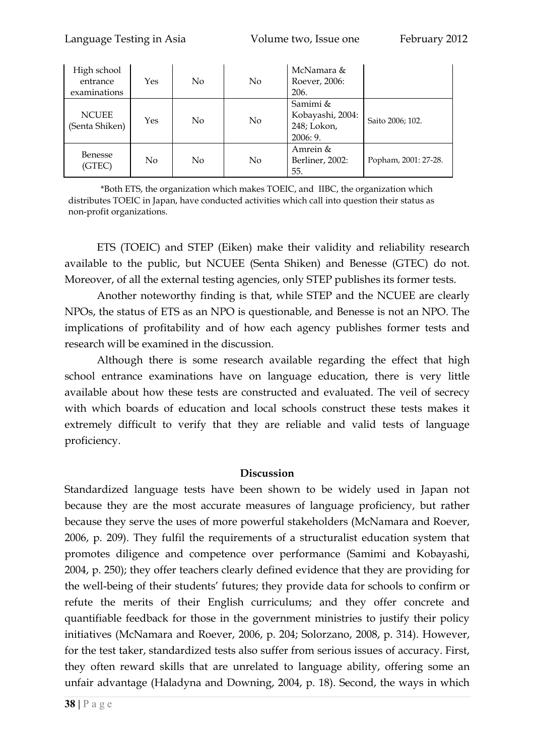| High school<br>entrance<br>examinations | Yes            | No | N <sub>o</sub> | McNamara &<br>Roever, 2006:<br>206.                     |                      |
|-----------------------------------------|----------------|----|----------------|---------------------------------------------------------|----------------------|
| <b>NCUEE</b><br>(Senta Shiken)          | Yes            | No | N <sub>0</sub> | Samimi &<br>Kobayashi, 2004:<br>248; Lokon,<br>2006: 9. | Saito 2006; 102.     |
| Benesse<br>(GTEC)                       | N <sub>0</sub> | No | N <sub>0</sub> | Amrein &<br>Berliner, 2002:<br>55.                      | Popham, 2001: 27-28. |

\*Both ETS, the organization which makes TOEIC, and IIBC, the organization which distributes TOEIC in Japan, have conducted activities which call into question their status as non-profit organizations.

ETS (TOEIC) and STEP (Eiken) make their validity and reliability research available to the public, but NCUEE (Senta Shiken) and Benesse (GTEC) do not. Moreover, of all the external testing agencies, only STEP publishes its former tests.

Another noteworthy finding is that, while STEP and the NCUEE are clearly NPOs, the status of ETS as an NPO is questionable, and Benesse is not an NPO. The implications of profitability and of how each agency publishes former tests and research will be examined in the discussion.

Although there is some research available regarding the effect that high school entrance examinations have on language education, there is very little available about how these tests are constructed and evaluated. The veil of secrecy with which boards of education and local schools construct these tests makes it extremely difficult to verify that they are reliable and valid tests of language proficiency.

#### **Discussion**

Standardized language tests have been shown to be widely used in Japan not because they are the most accurate measures of language proficiency, but rather because they serve the uses of more powerful stakeholders (McNamara and Roever, 2006, p. 209). They fulfil the requirements of a structuralist education system that promotes diligence and competence over performance (Samimi and Kobayashi, 2004, p. 250); they offer teachers clearly defined evidence that they are providing for the well-being of their students' futures; they provide data for schools to confirm or refute the merits of their English curriculums; and they offer concrete and quantifiable feedback for those in the government ministries to justify their policy initiatives (McNamara and Roever, 2006, p. 204; Solorzano, 2008, p. 314). However, for the test taker, standardized tests also suffer from serious issues of accuracy. First, they often reward skills that are unrelated to language ability, offering some an unfair advantage (Haladyna and Downing, 2004, p. 18). Second, the ways in which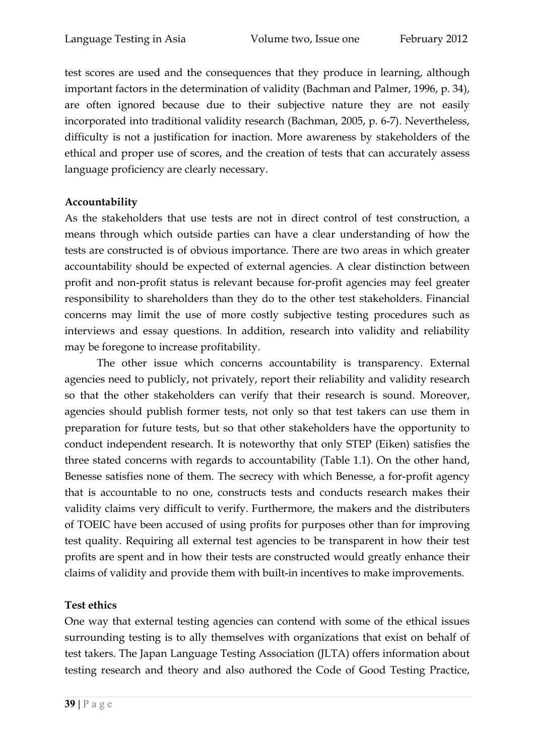test scores are used and the consequences that they produce in learning, although important factors in the determination of validity (Bachman and Palmer, 1996, p. 34), are often ignored because due to their subjective nature they are not easily incorporated into traditional validity research (Bachman, 2005, p. 6-7). Nevertheless, difficulty is not a justification for inaction. More awareness by stakeholders of the ethical and proper use of scores, and the creation of tests that can accurately assess language proficiency are clearly necessary.

## **Accountability**

As the stakeholders that use tests are not in direct control of test construction, a means through which outside parties can have a clear understanding of how the tests are constructed is of obvious importance. There are two areas in which greater accountability should be expected of external agencies. A clear distinction between profit and non-profit status is relevant because for-profit agencies may feel greater responsibility to shareholders than they do to the other test stakeholders. Financial concerns may limit the use of more costly subjective testing procedures such as interviews and essay questions. In addition, research into validity and reliability may be foregone to increase profitability.

The other issue which concerns accountability is transparency. External agencies need to publicly, not privately, report their reliability and validity research so that the other stakeholders can verify that their research is sound. Moreover, agencies should publish former tests, not only so that test takers can use them in preparation for future tests, but so that other stakeholders have the opportunity to conduct independent research. It is noteworthy that only STEP (Eiken) satisfies the three stated concerns with regards to accountability (Table 1.1). On the other hand, Benesse satisfies none of them. The secrecy with which Benesse, a for-profit agency that is accountable to no one, constructs tests and conducts research makes their validity claims very difficult to verify. Furthermore, the makers and the distributers of TOEIC have been accused of using profits for purposes other than for improving test quality. Requiring all external test agencies to be transparent in how their test profits are spent and in how their tests are constructed would greatly enhance their claims of validity and provide them with built-in incentives to make improvements.

## **Test ethics**

One way that external testing agencies can contend with some of the ethical issues surrounding testing is to ally themselves with organizations that exist on behalf of test takers. The Japan Language Testing Association (JLTA) offers information about testing research and theory and also authored the Code of Good Testing Practice,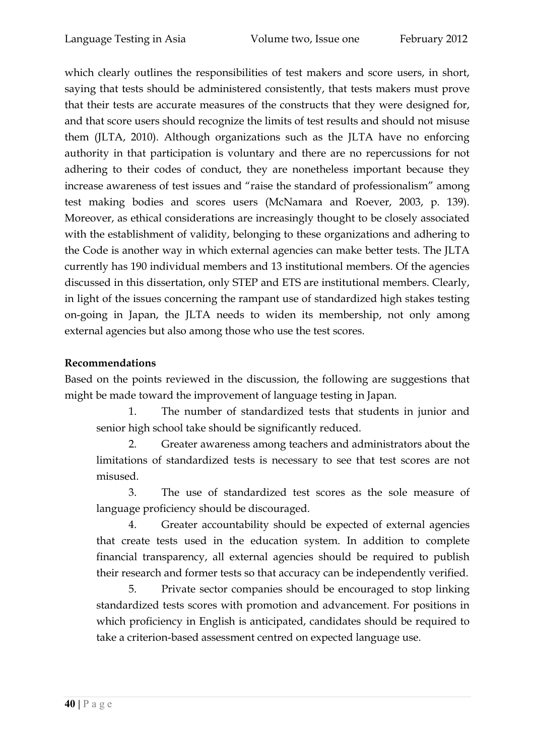which clearly outlines the responsibilities of test makers and score users, in short, saying that tests should be administered consistently, that tests makers must prove that their tests are accurate measures of the constructs that they were designed for, and that score users should recognize the limits of test results and should not misuse them (JLTA, 2010). Although organizations such as the JLTA have no enforcing authority in that participation is voluntary and there are no repercussions for not adhering to their codes of conduct, they are nonetheless important because they increase awareness of test issues and "raise the standard of professionalism" among test making bodies and scores users (McNamara and Roever, 2003, p. 139). Moreover, as ethical considerations are increasingly thought to be closely associated with the establishment of validity, belonging to these organizations and adhering to the Code is another way in which external agencies can make better tests. The JLTA currently has 190 individual members and 13 institutional members. Of the agencies discussed in this dissertation, only STEP and ETS are institutional members. Clearly, in light of the issues concerning the rampant use of standardized high stakes testing on-going in Japan, the JLTA needs to widen its membership, not only among external agencies but also among those who use the test scores.

#### **Recommendations**

Based on the points reviewed in the discussion, the following are suggestions that might be made toward the improvement of language testing in Japan.

1. The number of standardized tests that students in junior and senior high school take should be significantly reduced.

2. Greater awareness among teachers and administrators about the limitations of standardized tests is necessary to see that test scores are not misused.

3. The use of standardized test scores as the sole measure of language proficiency should be discouraged.

4. Greater accountability should be expected of external agencies that create tests used in the education system. In addition to complete financial transparency, all external agencies should be required to publish their research and former tests so that accuracy can be independently verified.

5. Private sector companies should be encouraged to stop linking standardized tests scores with promotion and advancement. For positions in which proficiency in English is anticipated, candidates should be required to take a criterion-based assessment centred on expected language use.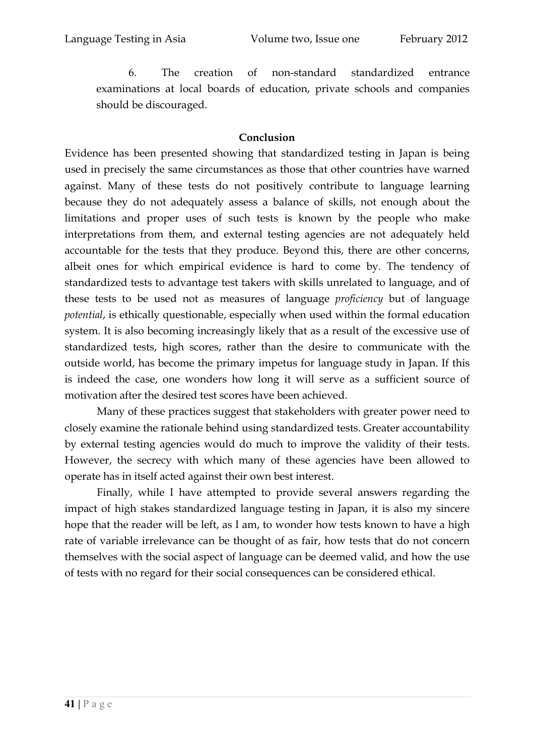6. The creation of non-standard standardized entrance examinations at local boards of education, private schools and companies should be discouraged.

## **Conclusion**

Evidence has been presented showing that standardized testing in Japan is being used in precisely the same circumstances as those that other countries have warned against. Many of these tests do not positively contribute to language learning because they do not adequately assess a balance of skills, not enough about the limitations and proper uses of such tests is known by the people who make interpretations from them, and external testing agencies are not adequately held accountable for the tests that they produce. Beyond this, there are other concerns, albeit ones for which empirical evidence is hard to come by. The tendency of standardized tests to advantage test takers with skills unrelated to language, and of these tests to be used not as measures of language *proficiency* but of language *potential*, is ethically questionable, especially when used within the formal education system. It is also becoming increasingly likely that as a result of the excessive use of standardized tests, high scores, rather than the desire to communicate with the outside world, has become the primary impetus for language study in Japan. If this is indeed the case, one wonders how long it will serve as a sufficient source of motivation after the desired test scores have been achieved.

Many of these practices suggest that stakeholders with greater power need to closely examine the rationale behind using standardized tests. Greater accountability by external testing agencies would do much to improve the validity of their tests. However, the secrecy with which many of these agencies have been allowed to operate has in itself acted against their own best interest.

Finally, while I have attempted to provide several answers regarding the impact of high stakes standardized language testing in Japan, it is also my sincere hope that the reader will be left, as I am, to wonder how tests known to have a high rate of variable irrelevance can be thought of as fair, how tests that do not concern themselves with the social aspect of language can be deemed valid, and how the use of tests with no regard for their social consequences can be considered ethical.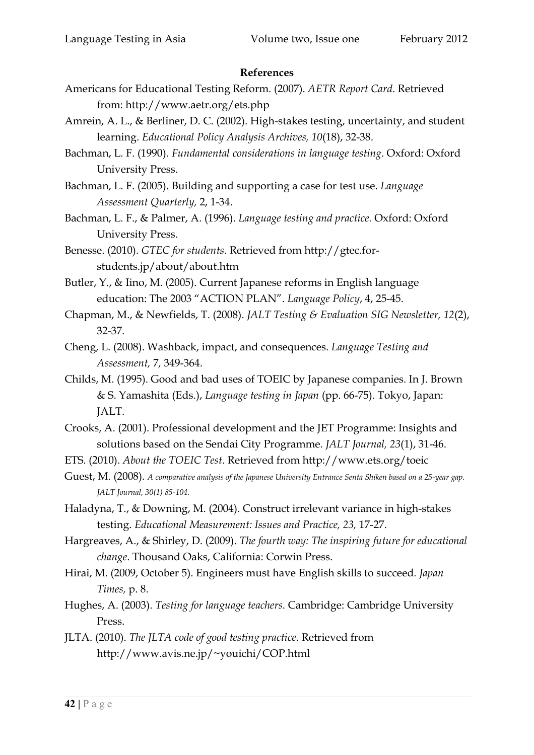#### **References**

- Americans for Educational Testing Reform. (2007). *AETR Report Card*. Retrieved from: http://www.aetr.org/ets.php
- Amrein, A. L., & Berliner, D. C. (2002). High-stakes testing, uncertainty, and student learning. *Educational Policy Analysis Archives, 10*(18), 32-38.
- Bachman, L. F. (1990). *Fundamental considerations in language testing*. Oxford: Oxford University Press.
- Bachman, L. F. (2005). Building and supporting a case for test use. *Language Assessment Quarterly,* 2, 1-34.
- Bachman, L. F., & Palmer, A. (1996). *Language testing and practice.* Oxford: Oxford University Press.
- Benesse. (2010). *GTEC for students*. Retrieved from http://gtec.forstudents.jp/about/about.htm
- Butler, Y., & Iino, M. (2005). Current Japanese reforms in English language education: The 2003 "ACTION PLAN". *Language Policy*, 4, 25-45.
- Chapman, M., & Newfields, T. (2008). *JALT Testing & Evaluation SIG Newsletter, 12*(2), 32-37.
- Cheng, L. (2008). Washback, impact, and consequences. *Language Testing and Assessment,* 7*,* 349-364.
- Childs, M. (1995). Good and bad uses of TOEIC by Japanese companies. In J. Brown & S. Yamashita (Eds.), *Language testing in Japan* (pp. 66-75). Tokyo, Japan: JALT.
- Crooks, A. (2001). Professional development and the JET Programme: Insights and solutions based on the Sendai City Programme. *JALT Journal, 23*(1), 31-46.
- ETS. (2010). *About the TOEIC Test*. Retrieved from http://www.ets.org/toeic
- Guest, M. (2008). *A comparative analysis of the Japanese University Entrance Senta Shiken based on a 25-year gap. JALT Journal, 30(1) 85-104.*
- Haladyna, T., & Downing, M. (2004). Construct irrelevant variance in high-stakes testing. *Educational Measurement: Issues and Practice, 23,* 17-27.
- Hargreaves, A., & Shirley, D. (2009). *The fourth way: The inspiring future for educational change*. Thousand Oaks, California: Corwin Press.
- Hirai, M. (2009, October 5). Engineers must have English skills to succeed*. Japan Times,* p. 8.
- Hughes, A. (2003). *Testing for language teachers*. Cambridge: Cambridge University Press.
- JLTA. (2010). *The JLTA code of good testing practice*. Retrieved from http://www.avis.ne.jp/~youichi/COP.html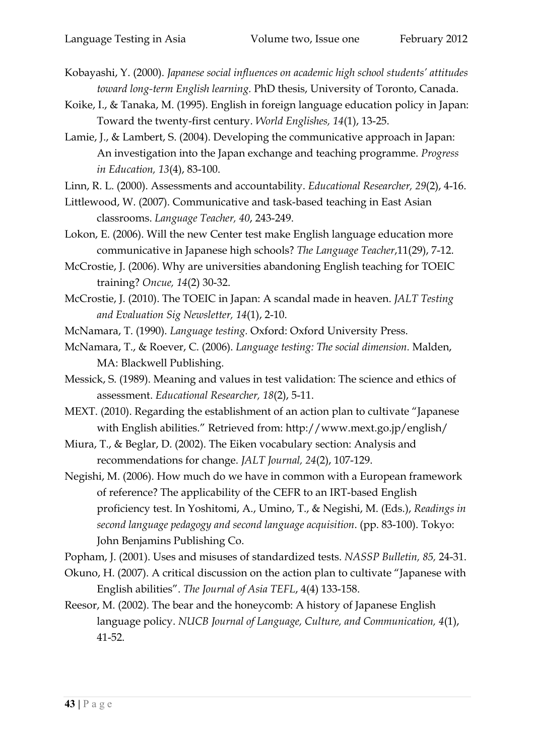- Kobayashi, Y. (2000). *Japanese social influences on academic high school students' attitudes toward long-term English learning.* PhD thesis, University of Toronto, Canada.
- Koike, I., & Tanaka, M. (1995). English in foreign language education policy in Japan: Toward the twenty-first century. *World Englishes, 14*(1), 13-25.
- Lamie, J., & Lambert, S. (2004). Developing the communicative approach in Japan: An investigation into the Japan exchange and teaching programme. *Progress in Education, 13*(4), 83-100.
- Linn, R. L. (2000). Assessments and accountability. *Educational Researcher, 29*(2), 4-16.
- Littlewood, W. (2007). Communicative and task-based teaching in East Asian classrooms. *Language Teacher, 40*, 243-249.
- Lokon, E. (2006). Will the new Center test make English language education more communicative in Japanese high schools? *The Language Teacher*,11(29), 7-12.
- McCrostie, J. (2006). Why are universities abandoning English teaching for TOEIC training? *Oncue, 14*(2) 30-32.
- McCrostie, J. (2010). The TOEIC in Japan: A scandal made in heaven. *JALT Testing and Evaluation Sig Newsletter, 14*(1), 2-10.
- McNamara, T. (1990). *Language testing.* Oxford: Oxford University Press.
- McNamara, T., & Roever, C. (2006). *Language testing: The social dimension.* Malden, MA: Blackwell Publishing.
- Messick, S. (1989). Meaning and values in test validation: The science and ethics of assessment. *Educational Researcher, 18*(2), 5-11.
- MEXT. (2010). Regarding the establishment of an action plan to cultivate "Japanese with English abilities." Retrieved from: http://www.mext.go.jp/english/
- Miura, T., & Beglar, D. (2002). The Eiken vocabulary section: Analysis and recommendations for change. *JALT Journal, 24*(2), 107-129.
- Negishi, M. (2006). How much do we have in common with a European framework of reference? The applicability of the CEFR to an IRT-based English proficiency test. In Yoshitomi, A., Umino, T., & Negishi, M. (Eds.), *Readings in second language pedagogy and second language acquisition*. (pp. 83-100). Tokyo: John Benjamins Publishing Co.

Popham, J. (2001). Uses and misuses of standardized tests. *NASSP Bulletin, 85,* 24-31.

- Okuno, H. (2007). A critical discussion on the action plan to cultivate "Japanese with English abilities". *The Journal of Asia TEFL*, 4(4) 133-158.
- Reesor, M. (2002). The bear and the honeycomb: A history of Japanese English language policy. *NUCB Journal of Language, Culture, and Communication, 4*(1), 41-52.